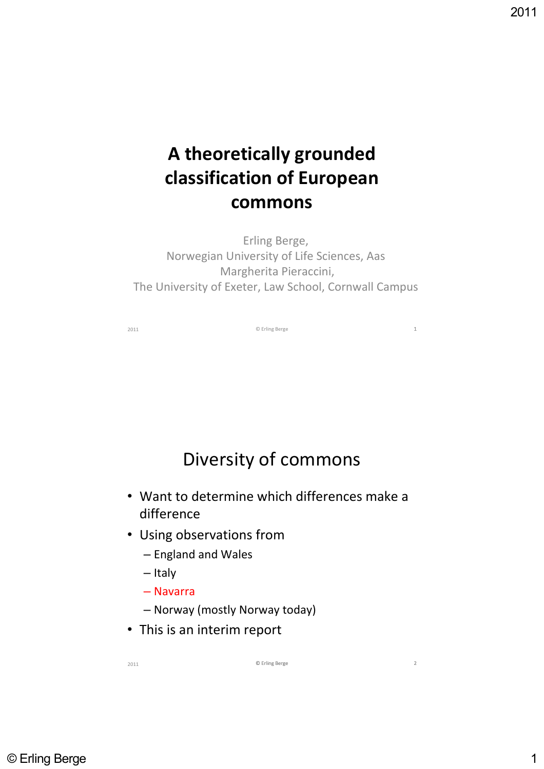# **A theoretically grounded classification of European commons**

Erling Berge, Norwegian University of Life Sciences, Aas Margherita Pieraccini, The University of Exeter, Law School, Cornwall Campus

2011 **C** Erling Berge **1** 

### Diversity of commons

- Want to determine which differences make a difference
- Using observations from
	- England and Wales
	- Italy
	- Navarra
	- Norway (mostly Norway today)
- This is an interim report

2011 **⊘** Erling Berge 2011 **⊘** Erling Berge 2011 Erling Berge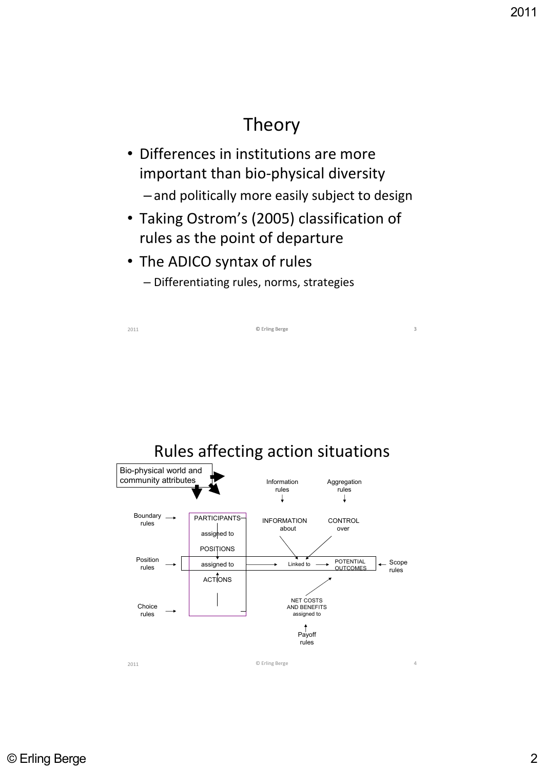## Theory

- Differences in institutions are more important than bio‐physical diversity – and politically more easily subject to design
- Taking Ostrom's (2005) classification of rules as the point of departure

2011 **⊘** Erling Berge 3 3

- The ADICO syntax of rules
	- Differentiating rules, norms, strategies

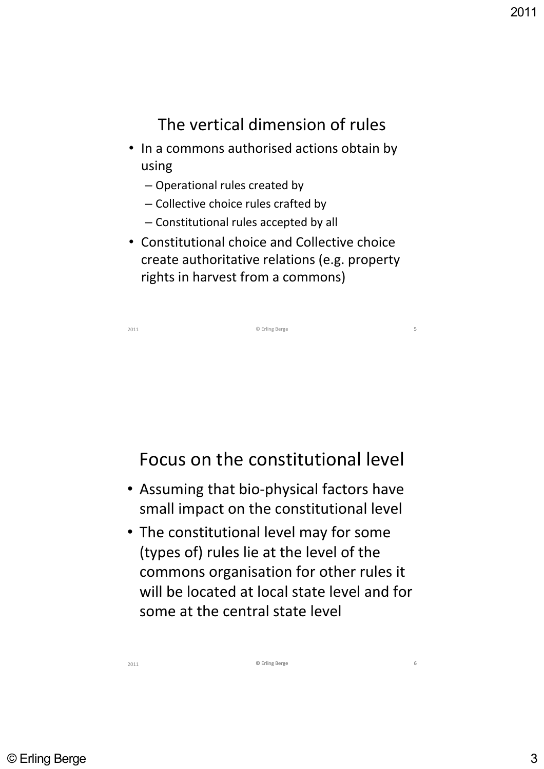#### The vertical dimension of rules

- In a commons authorised actions obtain by using
	- Operational rules created by
	- Collective choice rules crafted by
	- Constitutional rules accepted by all
- Constitutional choice and Collective choice create authoritative relations (e.g. property rights in harvest from a commons)

| 2011 | © Erling Berge | 5 |
|------|----------------|---|
|      |                |   |

#### Focus on the constitutional level

- Assuming that bio‐physical factors have small impact on the constitutional level
- The constitutional level may for some (types of) rules lie at the level of the commons organisation for other rules it will be located at local state level and for some at the central state level

C Erling Berge 6

2011 **⊘** Erling Berge 6 G Erling Berge 6 G Erling Berge 6 G Erling Berge 6 G Erling Berge 6 G Erling Berge 6 G Er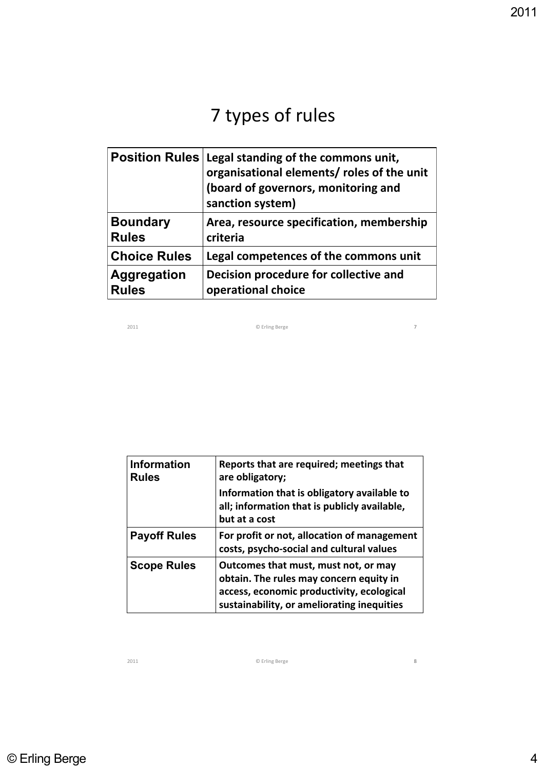# 7 types of rules

| <b>Position Rules</b> | Legal standing of the commons unit,<br>organisational elements/ roles of the unit<br>(board of governors, monitoring and<br>sanction system) |
|-----------------------|----------------------------------------------------------------------------------------------------------------------------------------------|
| <b>Boundary</b>       | Area, resource specification, membership                                                                                                     |
| <b>Rules</b>          | criteria                                                                                                                                     |
| <b>Choice Rules</b>   | Legal competences of the commons unit                                                                                                        |
| <b>Aggregation</b>    | Decision procedure for collective and                                                                                                        |
| <b>Rules</b>          | operational choice                                                                                                                           |

2011 © Erling Berge 7

| <b>Information</b><br><b>Rules</b> | Reports that are required; meetings that<br>are obligatory;                                                                                                                |
|------------------------------------|----------------------------------------------------------------------------------------------------------------------------------------------------------------------------|
|                                    | Information that is obligatory available to<br>all; information that is publicly available,<br>but at a cost                                                               |
| <b>Payoff Rules</b>                | For profit or not, allocation of management<br>costs, psycho-social and cultural values                                                                                    |
| <b>Scope Rules</b>                 | Outcomes that must, must not, or may<br>obtain. The rules may concern equity in<br>access, economic productivity, ecological<br>sustainability, or ameliorating inequities |

2011 © Erling Berge 8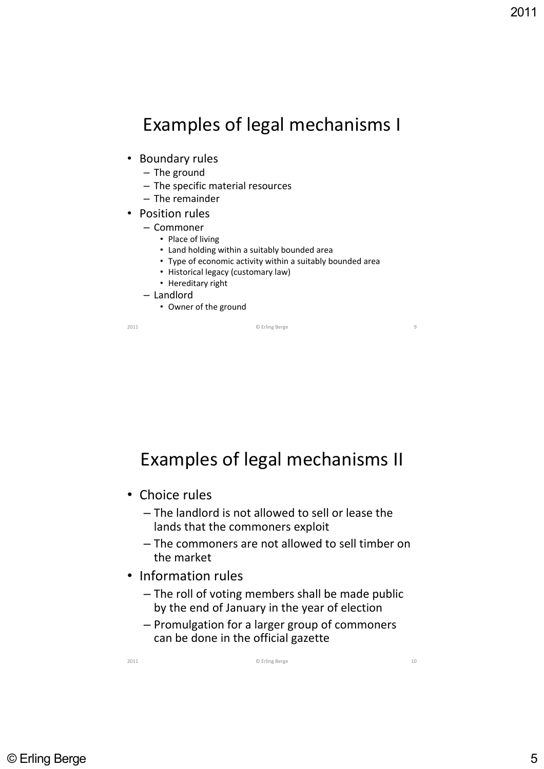### Examples of legal mechanisms I

- Boundary rules
	- The ground
	- The specific material resources
	- The remainder
- Position rules
	- Commoner
		- Place of living
		- Land holding within a suitably bounded area
		- Type of economic activity within a suitably bounded area
		- Historical legacy (customary law)
		- Hereditary right
	- Landlord
		- Owner of the ground

2011 © Erling Berge 9

Examples of legal mechanisms II

- Choice rules
	- The landlord is not allowed to sell or lease the lands that the commoners exploit
	- The commoners are not allowed to sell timber on the market
- Information rules
	- The roll of voting members shall be made public by the end of January in the year of election
	- Promulgation for a larger group of commoners can be done in the official gazette

2011 **Contract Contract Contract Contract Contract Contract Contract Contract Contract Contract Contract Contract Contract Contract Contract Contract Contract Contract Contract Contract Contract Contract Contract Contract**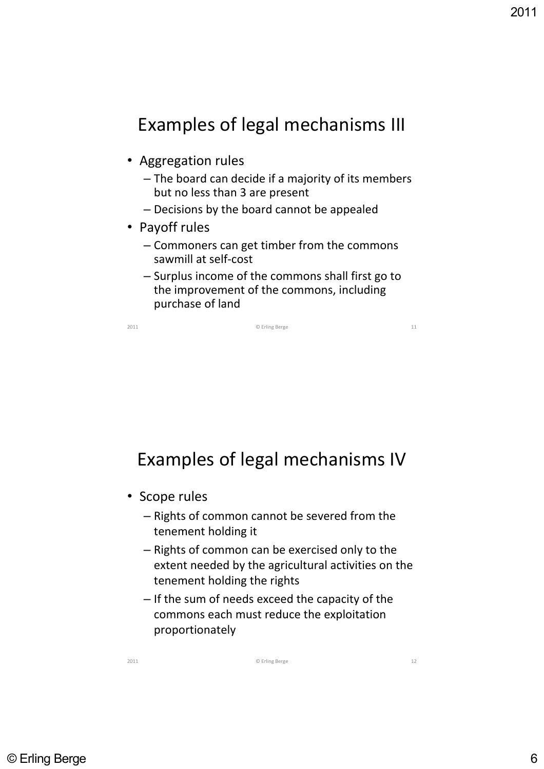### Examples of legal mechanisms III

- Aggregation rules
	- The board can decide if a majority of its members but no less than 3 are present
	- Decisions by the board cannot be appealed
- Payoff rules
	- Commoners can get timber from the commons sawmill at self‐cost
	- Surplus income of the commons shall first go to the improvement of the commons, including purchase of land

2011 © Erling Berge 11

### Examples of legal mechanisms IV

- Scope rules
	- Rights of common cannot be severed from the tenement holding it
	- Rights of common can be exercised only to the extent needed by the agricultural activities on the tenement holding the rights
	- If the sum of needs exceed the capacity of the commons each must reduce the exploitation proportionately

2011 © Erling Berge 12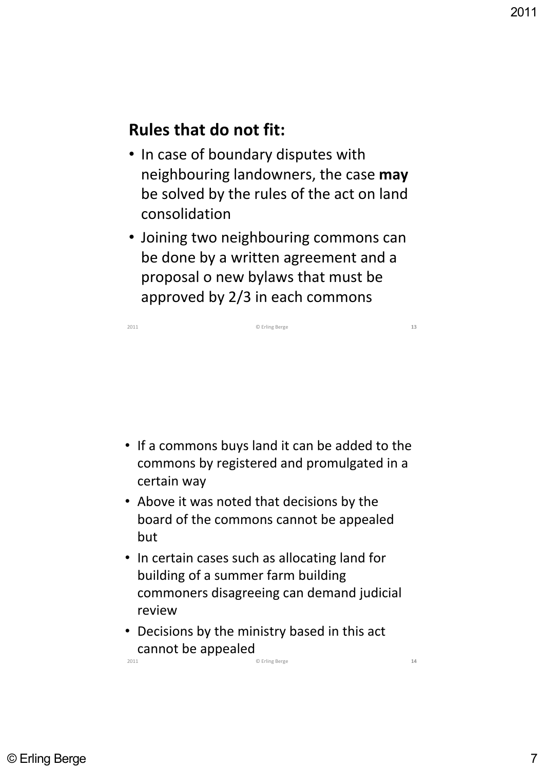#### **Rules that do not fit:**

- In case of boundary disputes with neighbouring landowners, the case **may** be solved by the rules of the act on land consolidation
- Joining two neighbouring commons can be done by a written agreement and a proposal o new bylaws that must be approved by 2/3 in each commons



- In certain cases such as allocating land for building of a summer farm building commoners disagreeing can demand judicial review
- Decisions by the ministry based in this act cannot be appealed